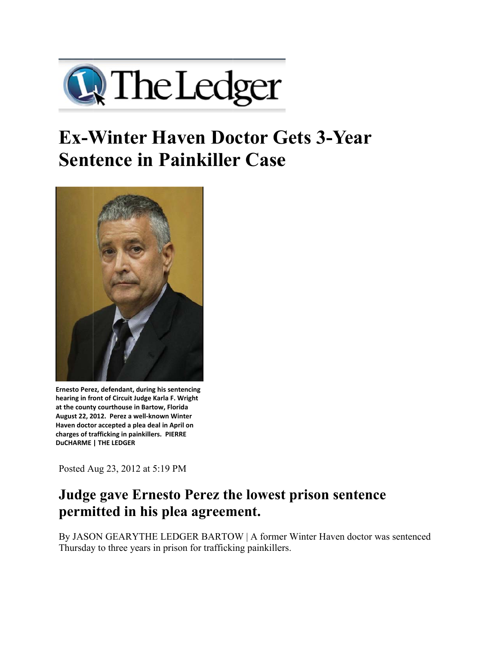

## **Ex-Winter Haven Doctor Gets 3-Year Sentence in Painkiller Case**



Ernesto Perez, defendant, during his sentencing **hearing in fro ont of Circuit Ju udge Karla F. Wr right at the county y courthouse in Bartow, Florida** at the county courthouse in Bartow, Florida<br>August 22, 2012. Perez a well-known Winter **Haven doctor accepted a plea deal in April on charges of tr rafficking in pain nkillers. PIERRE DuCHARME | THE LEDGER** 

Posted A Aug 23, 2012 2 at 5:19 PM

## **Judge gave Ernesto Perez the lowest prison sentence permitted in his plea agreement.**

By JASON GEARYTHE LEDGER BARTOW | A former Winter Haven doctor was sentenced Thursday to three years in prison for trafficking painkillers.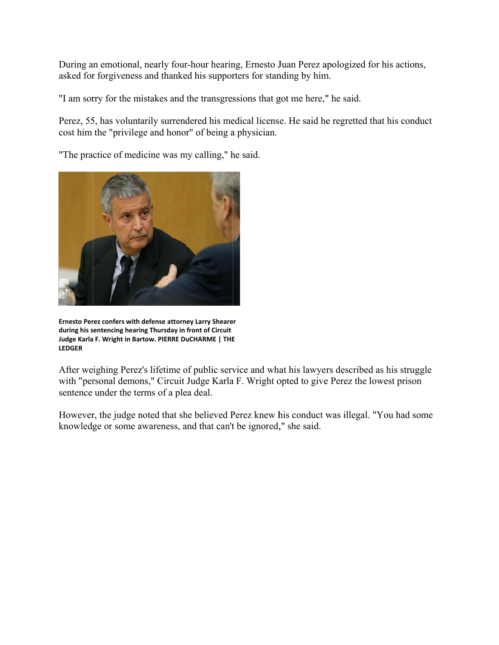During an emotional, nearly four-hour hearing, Ernesto Juan Perez apologized for his actions, asked for forgiveness and thanked his supporters for standing by him.

"I am sorry for the mistakes and the transgressions that got me here," he said.

Perez, 55, has voluntarily surrendered his medical license. He said he regretted that his conduct cost him the "privilege and honor" of being a physician.

"The practice of medicine was my calling," he said.



**Ernesto Perez confers with defense attorney Larry Shearer during his s entencing heari ing Thursday in front of Circuit Judge Karla F. Wright in Bartow. PIERRE DuCHARME | THE LEDGER** 

After weighing Perez's lifetime of public service and what his lawyers described as his struggle with "personal demons," Circuit Judge Karla F. Wright opted to give Perez the lowest prison sentence under the terms of a plea deal. with "personal demons," Circuit Judge Karla F. Wright opted to give Perez the lowest prison<br>sentence under the terms of a plea deal.<br>However, the judge noted that she believed Perez knew his conduct was illegal. "You had s

knowledge or some awareness, and that can't be ignored," she said.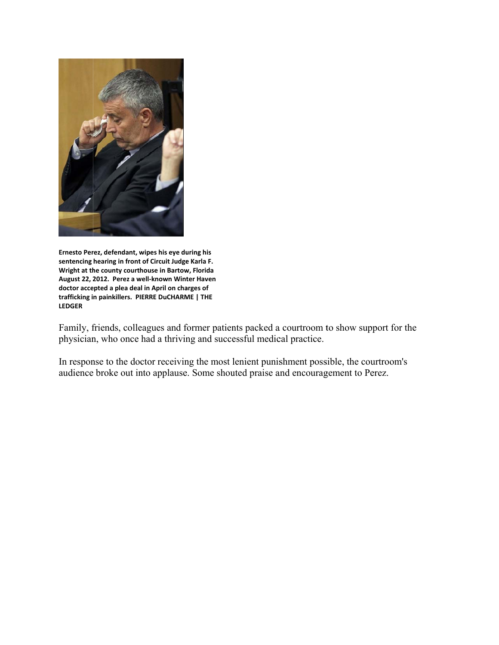

**Ernesto Per rez, defendant, w wipes his eye du uring his**  sentencing hearing in front of Circuit Judge Karla F. Wright at the county courthouse in Bartow, Florida August 22, 2012. Perez a well-known Winter Haven doctor accepted a plea deal in April on charges of **trafficking i n painkillers. P IERRE DuCHARM ME | THE LEDGER**

Family, friends, colleagues and former patients packed a courtroom to show support for the physician, who once had a thriving and successful medical practice.

In response to the doctor receiving the most lenient punishment possible, the courtroom's audience broke out into applause. Some shouted praise and encouragement to Perez.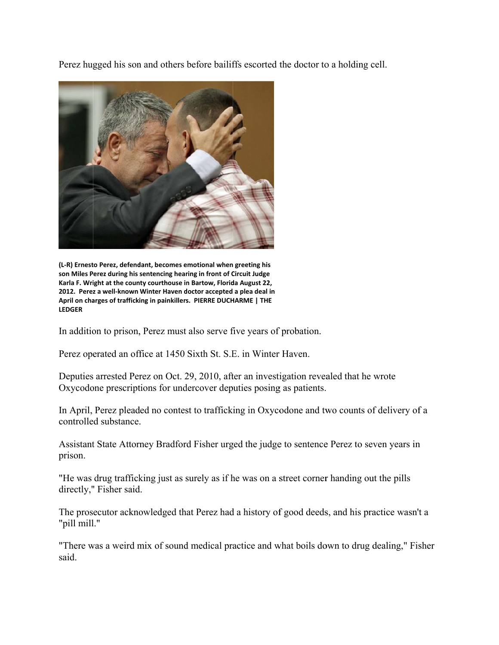Perez hugged his son and others before bailiffs escorted the doctor to a holding cell.



(L-R) Ernesto Perez, defendant, becomes emotional when greeting his **son Miles P erez during his sentencing hear ring in front of C Circuit Judge**  Karla F. Wright at the county courthouse in Bartow, Florida August 22, 2012. Perez a well-known Winter Haven doctor accepted a plea deal in April on charges of trafficking in painkillers. PIERRE DUCHARME | THE **LEDGER**

In addition to prison, Perez must also serve five years of probation.

Perez operated an office at 1450 Sixth St. S.E. in Winter Haven.

Deputies arrested Perez on Oct. 29, 2010, after an investigation revealed that he wrote Oxycodone prescriptions for undercover deputies posing as patients.

In April, Perez pleaded no contest to trafficking in Oxycodone and two counts of delivery of a controlle d substance.

controlled substance.<br>Assistant State Attorney Bradford Fisher urged the judge to sentence Perez to seven years in prison.

"He was drug trafficking just as surely as if he was on a street corner handing out the pills directly," Fisher said. Assistant State Attorney Bradford Fisher urged the judge to sentence Perez to seven years in<br>prison.<br>"He was drug trafficking just as surely as if he was on a street corner handing out the pills<br>directly," Fisher said.<br>The

"pill mill."

"There was a weird mix of sound medical practice and what boils down to drug dealing," Fisher said.